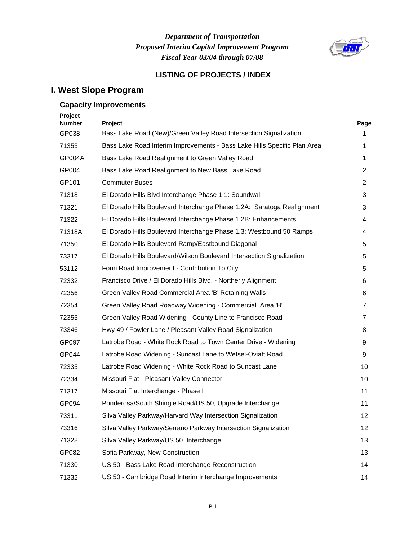## *Department of Transportation Fiscal Year 03/04 through 07/08 Proposed Interim Capital Improvement Program*



#### **LISTING OF PROJECTS / INDEX**

## **I. West Slope Program**

#### **Capacity Improvements**

| Project<br><b>Number</b> | Project                                                                  | Page |
|--------------------------|--------------------------------------------------------------------------|------|
| GP038                    | Bass Lake Road (New)/Green Valley Road Intersection Signalization        | 1.   |
| 71353                    | Bass Lake Road Interim Improvements - Bass Lake Hills Specific Plan Area | 1    |
| GP004A                   | Bass Lake Road Realignment to Green Valley Road                          | 1    |
| GP004                    | Bass Lake Road Realignment to New Bass Lake Road                         | 2    |
| GP101                    | <b>Commuter Buses</b>                                                    | 2    |
| 71318                    | El Dorado Hills Blvd Interchange Phase 1.1: Soundwall                    | 3    |
| 71321                    | El Dorado Hills Boulevard Interchange Phase 1.2A: Saratoga Realignment   | 3    |
| 71322                    | El Dorado Hills Boulevard Interchange Phase 1.2B: Enhancements           | 4    |
| 71318A                   | El Dorado Hills Boulevard Interchange Phase 1.3: Westbound 50 Ramps      | 4    |
| 71350                    | El Dorado Hills Boulevard Ramp/Eastbound Diagonal                        | 5    |
| 73317                    | El Dorado Hills Boulevard/Wilson Boulevard Intersection Signalization    | 5    |
| 53112                    | Forni Road Improvement - Contribution To City                            | 5    |
| 72332                    | Francisco Drive / El Dorado Hills Blvd. - Northerly Alignment            | 6    |
| 72356                    | Green Valley Road Commercial Area 'B' Retaining Walls                    | 6    |
| 72354                    | Green Valley Road Roadway Widening - Commercial Area 'B'                 | 7    |
| 72355                    | Green Valley Road Widening - County Line to Francisco Road               | 7    |
| 73346                    | Hwy 49 / Fowler Lane / Pleasant Valley Road Signalization                | 8    |
| GP097                    | Latrobe Road - White Rock Road to Town Center Drive - Widening           | 9    |
| GP044                    | Latrobe Road Widening - Suncast Lane to Wetsel-Oviatt Road               | 9    |
| 72335                    | Latrobe Road Widening - White Rock Road to Suncast Lane                  | 10   |
| 72334                    | Missouri Flat - Pleasant Valley Connector                                | 10   |
| 71317                    | Missouri Flat Interchange - Phase I                                      | 11   |
| GP094                    | Ponderosa/South Shingle Road/US 50, Upgrade Interchange                  | 11   |
| 73311                    | Silva Valley Parkway/Harvard Way Intersection Signalization              | 12   |
| 73316                    | Silva Valley Parkway/Serrano Parkway Intersection Signalization          | 12   |
| 71328                    | Silva Valley Parkway/US 50 Interchange                                   | 13   |
| GP082                    | Sofia Parkway, New Construction                                          | 13   |
| 71330                    | US 50 - Bass Lake Road Interchange Reconstruction                        | 14   |
| 71332                    | US 50 - Cambridge Road Interim Interchange Improvements                  | 14   |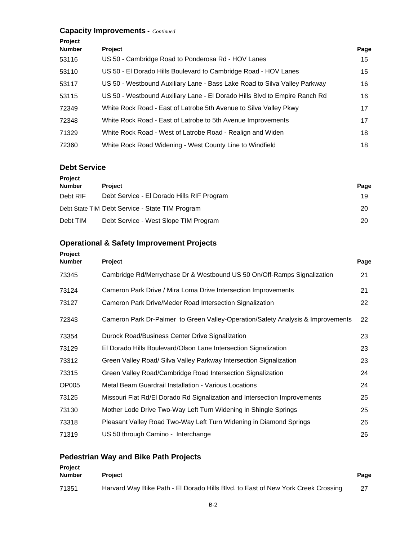#### **Capacity Improvements** *- Continued*

| Project       |                                                                            |      |
|---------------|----------------------------------------------------------------------------|------|
| <b>Number</b> | <b>Project</b>                                                             | Page |
| 53116         | US 50 - Cambridge Road to Ponderosa Rd - HOV Lanes                         | 15   |
| 53110         | US 50 - El Dorado Hills Boulevard to Cambridge Road - HOV Lanes            | 15   |
| 53117         | US 50 - Westbound Auxiliary Lane - Bass Lake Road to Silva Valley Parkway  | 16   |
| 53115         | US 50 - Westbound Auxiliary Lane - El Dorado Hills Blvd to Empire Ranch Rd | 16   |
| 72349         | White Rock Road - East of Latrobe 5th Avenue to Silva Valley Pkwy          | 17   |
| 72348         | White Rock Road - East of Latrobe to 5th Avenue Improvements               | 17   |
| 71329         | White Rock Road - West of Latrobe Road - Realign and Widen                 | 18   |
| 72360         | White Rock Road Widening - West County Line to Windfield                   | 18   |

#### **Debt Service**

| <b>Project</b> |                                                 |      |
|----------------|-------------------------------------------------|------|
| <b>Number</b>  | <b>Project</b>                                  | Page |
| Debt RIF       | Debt Service - El Dorado Hills RIF Program      | 19   |
|                | Debt State TIM Debt Service - State TIM Program | 20   |
| Debt TIM       | Debt Service - West Slope TIM Program           | 20   |

#### **Operational & Safety Improvement Projects**

| <b>Project</b><br><b>Number</b> | Project                                                                         | Page |
|---------------------------------|---------------------------------------------------------------------------------|------|
| 73345                           | Cambridge Rd/Merrychase Dr & Westbound US 50 On/Off-Ramps Signalization         | 21   |
| 73124                           | Cameron Park Drive / Mira Loma Drive Intersection Improvements                  | 21   |
| 73127                           | Cameron Park Drive/Meder Road Intersection Signalization                        | 22   |
| 72343                           | Cameron Park Dr-Palmer to Green Valley-Operation/Safety Analysis & Improvements | 22   |
| 73354                           | Durock Road/Business Center Drive Signalization                                 | 23   |
| 73129                           | El Dorado Hills Boulevard/Olson Lane Intersection Signalization                 | 23   |
| 73312                           | Green Valley Road/ Silva Valley Parkway Intersection Signalization              | 23   |
| 73315                           | Green Valley Road/Cambridge Road Intersection Signalization                     | 24   |
| OP005                           | Metal Beam Guardrail Installation - Various Locations                           | 24   |
| 73125                           | Missouri Flat Rd/El Dorado Rd Signalization and Intersection Improvements       | 25   |
| 73130                           | Mother Lode Drive Two-Way Left Turn Widening in Shingle Springs                 | 25   |
| 73318                           | Pleasant Valley Road Two-Way Left Turn Widening in Diamond Springs              | 26   |
| 71319                           | US 50 through Camino - Interchange                                              | 26   |

## **Pedestrian Way and Bike Path Projects**

| <b>Project</b><br>Number | <b>Project</b>                                                                   |  |
|--------------------------|----------------------------------------------------------------------------------|--|
| 71351                    | Harvard Way Bike Path - El Dorado Hills Blvd. to East of New York Creek Crossing |  |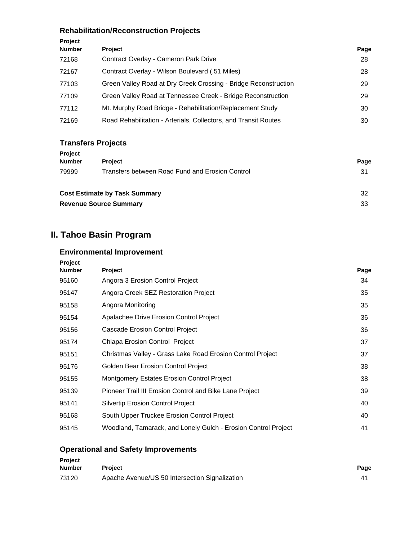## **Rehabilitation/Reconstruction Projects**

| Project<br><b>Number</b> | <b>Project</b>                                                  | Page |
|--------------------------|-----------------------------------------------------------------|------|
| 72168                    | Contract Overlay - Cameron Park Drive                           | 28   |
| 72167                    | Contract Overlay - Wilson Boulevard (.51 Miles)                 | 28   |
| 77103                    | Green Valley Road at Dry Creek Crossing - Bridge Reconstruction | 29   |
| 77109                    | Green Valley Road at Tennessee Creek - Bridge Reconstruction    | 29   |
| 77112                    | Mt. Murphy Road Bridge - Rehabilitation/Replacement Study       | 30   |
| 72169                    | Road Rehabilitation - Arterials, Collectors, and Transit Routes | 30   |

#### **Transfers Projects**

| <b>Project</b>                |                                                 |      |
|-------------------------------|-------------------------------------------------|------|
| <b>Number</b>                 | <b>Project</b>                                  | Page |
| 79999                         | Transfers between Road Fund and Erosion Control | 31   |
|                               | <b>Cost Estimate by Task Summary</b>            | 32   |
| <b>Revenue Source Summary</b> |                                                 | 33   |

## **II. Tahoe Basin Program**

#### **Environmental Improvement**

| Page |
|------|
| 34   |
| 35   |
| 35   |
| 36   |
| 36   |
| 37   |
| 37   |
| 38   |
| 38   |
| 39   |
| 40   |
| 40   |
| 41   |
|      |

## **Operational and Safety Improvements**

| <b>Project</b> |                                                |                |
|----------------|------------------------------------------------|----------------|
| Number         | <b>Project</b>                                 | Page           |
| 73120          | Apache Avenue/US 50 Intersection Signalization | 4 <sup>1</sup> |